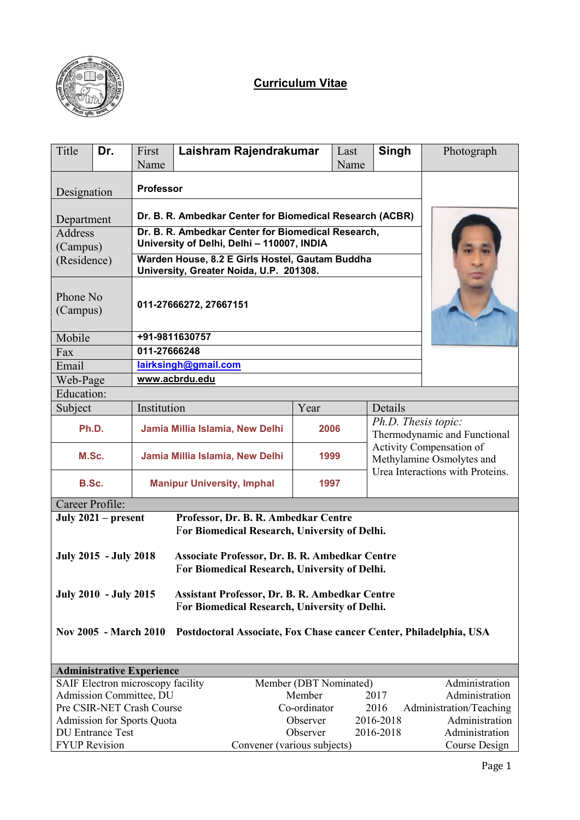

# **Curriculum Vitae**

| Title                                                                                                                                  | Dr.                        | First<br>Name                     | Laishram Rajendrakumar                                                                           |                        | Last<br>Name | Singh                                               | Photograph                                                                                |  |  |  |  |
|----------------------------------------------------------------------------------------------------------------------------------------|----------------------------|-----------------------------------|--------------------------------------------------------------------------------------------------|------------------------|--------------|-----------------------------------------------------|-------------------------------------------------------------------------------------------|--|--|--|--|
| Designation                                                                                                                            |                            | <b>Professor</b>                  |                                                                                                  |                        |              |                                                     |                                                                                           |  |  |  |  |
| Department                                                                                                                             |                            |                                   | Dr. B. R. Ambedkar Center for Biomedical Research (ACBR)                                         |                        |              |                                                     |                                                                                           |  |  |  |  |
| <b>Address</b><br>(Campus)                                                                                                             |                            |                                   | Dr. B. R. Ambedkar Center for Biomedical Research,<br>University of Delhi, Delhi - 110007, INDIA |                        |              |                                                     |                                                                                           |  |  |  |  |
| (Residence)                                                                                                                            |                            |                                   | Warden House, 8.2 E Girls Hostel, Gautam Buddha<br>University, Greater Noida, U.P. 201308.       |                        |              |                                                     |                                                                                           |  |  |  |  |
| Phone No<br>(Campus)                                                                                                                   |                            |                                   | 011-27666272, 27667151                                                                           |                        |              |                                                     |                                                                                           |  |  |  |  |
| Mobile                                                                                                                                 |                            |                                   | +91-9811630757                                                                                   |                        |              |                                                     |                                                                                           |  |  |  |  |
| Fax                                                                                                                                    |                            | 011-27666248                      |                                                                                                  |                        |              |                                                     |                                                                                           |  |  |  |  |
| Email                                                                                                                                  |                            |                                   | lairksingh@gmail.com                                                                             |                        |              |                                                     |                                                                                           |  |  |  |  |
|                                                                                                                                        | www.acbrdu.edu<br>Web-Page |                                   |                                                                                                  |                        |              |                                                     |                                                                                           |  |  |  |  |
| Education:                                                                                                                             |                            |                                   |                                                                                                  |                        |              |                                                     |                                                                                           |  |  |  |  |
| Subject                                                                                                                                |                            | Institution                       |                                                                                                  | Year                   |              | Details                                             |                                                                                           |  |  |  |  |
| Ph.D.                                                                                                                                  |                            |                                   | Jamia Millia Islamia, New Delhi                                                                  | 2006                   |              | Ph.D. Thesis topic:<br>Thermodynamic and Functional |                                                                                           |  |  |  |  |
| M.Sc.                                                                                                                                  |                            |                                   | Jamia Millia Islamia, New Delhi                                                                  | 1999                   |              |                                                     | Activity Compensation of<br>Methylamine Osmolytes and<br>Urea Interactions with Proteins. |  |  |  |  |
| B.Sc.                                                                                                                                  |                            |                                   | <b>Manipur University, Imphal</b>                                                                | 1997                   |              |                                                     |                                                                                           |  |  |  |  |
| Career Profile:                                                                                                                        |                            |                                   |                                                                                                  |                        |              |                                                     |                                                                                           |  |  |  |  |
|                                                                                                                                        | July $2021$ – present      |                                   | Professor, Dr. B. R. Ambedkar Centre<br>For Biomedical Research, University of Delhi.            |                        |              |                                                     |                                                                                           |  |  |  |  |
| <b>July 2015 - July 2018</b><br>Associate Professor, Dr. B. R. Ambedkar Centre<br>For Biomedical Research, University of Delhi.        |                            |                                   |                                                                                                  |                        |              |                                                     |                                                                                           |  |  |  |  |
| <b>July 2010 - July 2015</b><br><b>Assistant Professor, Dr. B. R. Ambedkar Centre</b><br>For Biomedical Research, University of Delhi. |                            |                                   |                                                                                                  |                        |              |                                                     |                                                                                           |  |  |  |  |
| <b>Nov 2005 - March 2010</b><br>Postdoctoral Associate, Fox Chase cancer Center, Philadelphia, USA                                     |                            |                                   |                                                                                                  |                        |              |                                                     |                                                                                           |  |  |  |  |
|                                                                                                                                        |                            | <b>Administrative Experience</b>  |                                                                                                  |                        |              |                                                     |                                                                                           |  |  |  |  |
|                                                                                                                                        |                            | SAIF Electron microscopy facility |                                                                                                  | Member (DBT Nominated) |              |                                                     | Administration                                                                            |  |  |  |  |
| Admission Committee, DU                                                                                                                | Administration             |                                   |                                                                                                  |                        |              |                                                     |                                                                                           |  |  |  |  |
| Pre CSIR-NET Crash Course<br>Co-ordinator<br>2016<br>Administration/Teaching                                                           |                            |                                   |                                                                                                  |                        |              |                                                     |                                                                                           |  |  |  |  |
|                                                                                                                                        |                            | <b>Admission for Sports Quota</b> |                                                                                                  | Observer<br>2016-2018  |              |                                                     | Administration                                                                            |  |  |  |  |
|                                                                                                                                        | <b>DU Entrance Test</b>    |                                   | Observer<br>2016-2018                                                                            |                        |              |                                                     | Administration                                                                            |  |  |  |  |
| <b>FYUP Revision</b>                                                                                                                   |                            |                                   | Convener (various subjects)                                                                      |                        |              |                                                     | Course Design                                                                             |  |  |  |  |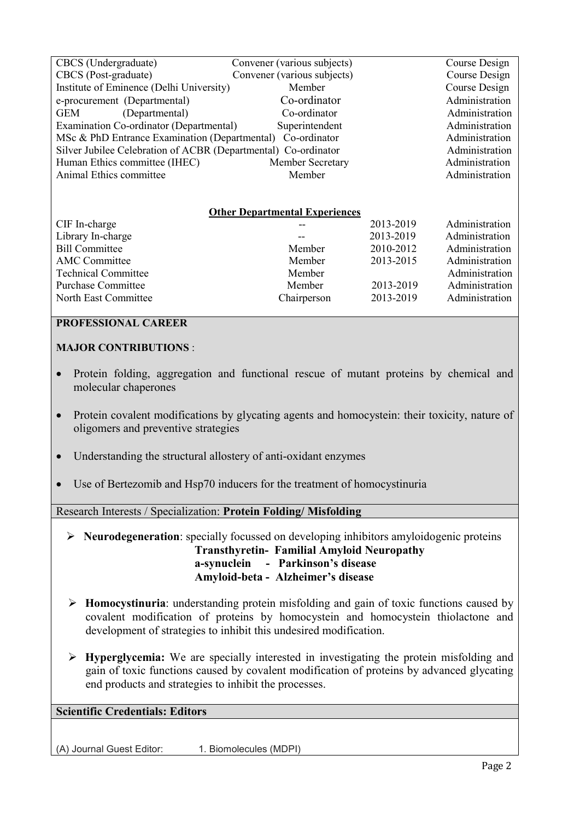| CBCS (Undergraduate)                                                             | Convener (various subjects)           |               | Course Design  |  |  |
|----------------------------------------------------------------------------------|---------------------------------------|---------------|----------------|--|--|
| CBCS (Post-graduate)                                                             | Convener (various subjects)           | Course Design |                |  |  |
| Institute of Eminence (Delhi University)                                         | Member                                |               | Course Design  |  |  |
| e-procurement (Departmental)                                                     | Co-ordinator                          |               | Administration |  |  |
| GEM<br>(Departmental)                                                            | Co-ordinator                          |               | Administration |  |  |
| Examination Co-ordinator (Departmental)                                          | Superintendent                        |               | Administration |  |  |
| Administration<br>Co-ordinator<br>MSc & PhD Entrance Examination (Departmental)  |                                       |               |                |  |  |
| Silver Jubilee Celebration of ACBR (Departmental) Co-ordinator<br>Administration |                                       |               |                |  |  |
| Human Ethics committee (IHEC)                                                    | Member Secretary                      |               | Administration |  |  |
| Animal Ethics committee                                                          | Member                                |               |                |  |  |
|                                                                                  |                                       |               |                |  |  |
|                                                                                  |                                       |               |                |  |  |
|                                                                                  | <b>Other Departmental Experiences</b> |               |                |  |  |
| CIF In-charge                                                                    |                                       | 2013-2019     | Administration |  |  |
| Library In-charge                                                                |                                       | 2013-2019     | Administration |  |  |
| <b>Bill Committee</b>                                                            | Member                                | 2010-2012     | Administration |  |  |
| <b>AMC</b> Committee                                                             | Member                                | 2013-2015     | Administration |  |  |
| <b>Technical Committee</b>                                                       | Member                                |               | Administration |  |  |
| <b>Purchase Committee</b>                                                        | Member                                | 2013-2019     | Administration |  |  |
| North East Committee                                                             | Chairperson                           | 2013-2019     | Administration |  |  |
|                                                                                  |                                       |               |                |  |  |

## **PROFESSIONAL CAREER**

### **MAJOR CONTRIBUTIONS** :

- Protein folding, aggregation and functional rescue of mutant proteins by chemical and molecular chaperones
- Protein covalent modifications by glycating agents and homocystein: their toxicity, nature of oligomers and preventive strategies
- Understanding the structural allostery of anti-oxidant enzymes
- Use of Bertezomib and Hsp70 inducers for the treatment of homocystinuria

Research Interests / Specialization: **Protein Folding/ Misfolding**

- **Neurodegeneration**: specially focussed on developing inhibitors amyloidogenic proteins  **Transthyretin- Familial Amyloid Neuropathy a-synuclein - Parkinson's disease Amyloid-beta - Alzheimer's disease**
- **Homocystinuria**: understanding protein misfolding and gain of toxic functions caused by covalent modification of proteins by homocystein and homocystein thiolactone and development of strategies to inhibit this undesired modification.
- **Hyperglycemia:** We are specially interested in investigating the protein misfolding and gain of toxic functions caused by covalent modification of proteins by advanced glycating end products and strategies to inhibit the processes.

# **Scientific Credentials: Editors**

(A) Journal Guest Editor: 1. Biomolecules (MDPI)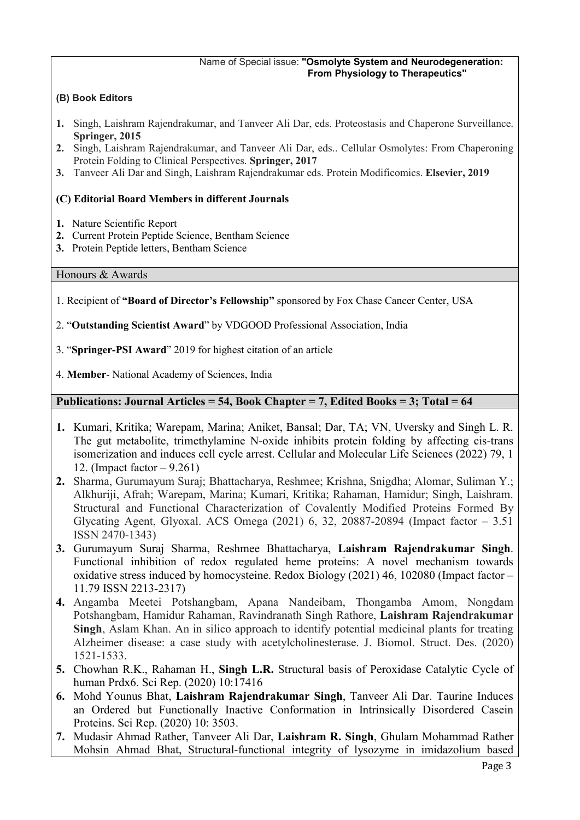#### Name of Special issue: **"Osmolyte System and Neurodegeneration: From Physiology to Therapeutics"**

### **(B) Book Editors**

- **1.** Singh, Laishram Rajendrakumar, and Tanveer Ali Dar, eds. Proteostasis and Chaperone Surveillance. **Springer, 2015**
- **2.** Singh, Laishram Rajendrakumar, and Tanveer Ali Dar, eds.. Cellular Osmolytes: From Chaperoning Protein Folding to Clinical Perspectives. **Springer, 2017**
- **3.** Tanveer Ali Dar and Singh, Laishram Rajendrakumar eds. Protein Modificomics. **Elsevier, 2019**

## **(C) Editorial Board Members in different Journals**

- **1.** Nature Scientific Report
- **2.** Current Protein Peptide Science, Bentham Science
- **3.** Protein Peptide letters, Bentham Science

#### Honours & Awards

- 1. Recipient of **"Board of Director's Fellowship"** sponsored by Fox Chase Cancer Center, USA
- 2. "**Outstanding Scientist Award**" by VDGOOD Professional Association, India
- 3. "**Springer-PSI Award**" 2019 for highest citation of an article
- 4. **Member** National Academy of Sciences, India

### **Publications: Journal Articles = 54, Book Chapter = 7, Edited Books = 3; Total = 64**

- **1.** Kumari, Kritika; Warepam, Marina; Aniket, Bansal; Dar, TA; VN, Uversky and Singh L. R. The gut metabolite, trimethylamine N-oxide inhibits protein folding by affecting cis-trans isomerization and induces cell cycle arrest. Cellular and Molecular Life Sciences (2022) 79, 1 12. (Impact factor – 9.261)
- **2.** Sharma, Gurumayum Suraj; Bhattacharya, Reshmee; Krishna, Snigdha; Alomar, Suliman Y.; Alkhuriji, Afrah; Warepam, Marina; Kumari, Kritika; Rahaman, Hamidur; Singh, Laishram. Structural and Functional Characterization of Covalently Modified Proteins Formed By Glycating Agent, Glyoxal. ACS Omega (2021) 6, 32, 20887-20894 (Impact factor – 3.51 ISSN 2470-1343)
- **3.** Gurumayum Suraj Sharma, Reshmee Bhattacharya, **Laishram Rajendrakumar Singh**. Functional inhibition of redox regulated heme proteins: A novel mechanism towards oxidative stress induced by homocysteine. Redox Biology (2021) 46, 102080 (Impact factor – 11.79 ISSN 2213-2317)
- **4.** Angamba Meetei Potshangbam, Apana Nandeibam, Thongamba Amom, Nongdam Potshangbam, Hamidur Rahaman, Ravindranath Singh Rathore, **Laishram Rajendrakumar Singh**, Aslam Khan. An in silico approach to identify potential medicinal plants for treating Alzheimer disease: a case study with acetylcholinesterase. J. Biomol. Struct. Des. (2020) 1521-1533.
- **5.** Chowhan R.K., Rahaman H., **Singh L.R.** Structural basis of Peroxidase Catalytic Cycle of human Prdx6. Sci Rep. (2020) 10:17416
- **6.** Mohd Younus Bhat, **Laishram Rajendrakumar Singh**, Tanveer Ali Dar. Taurine Induces an Ordered but Functionally Inactive Conformation in Intrinsically Disordered Casein Proteins. Sci Rep. (2020) 10: 3503.
- **7.** Mudasir Ahmad Rather, Tanveer Ali Dar, **Laishram R. Singh**, Ghulam Mohammad Rather Mohsin Ahmad Bhat, Structural-functional integrity of lysozyme in imidazolium based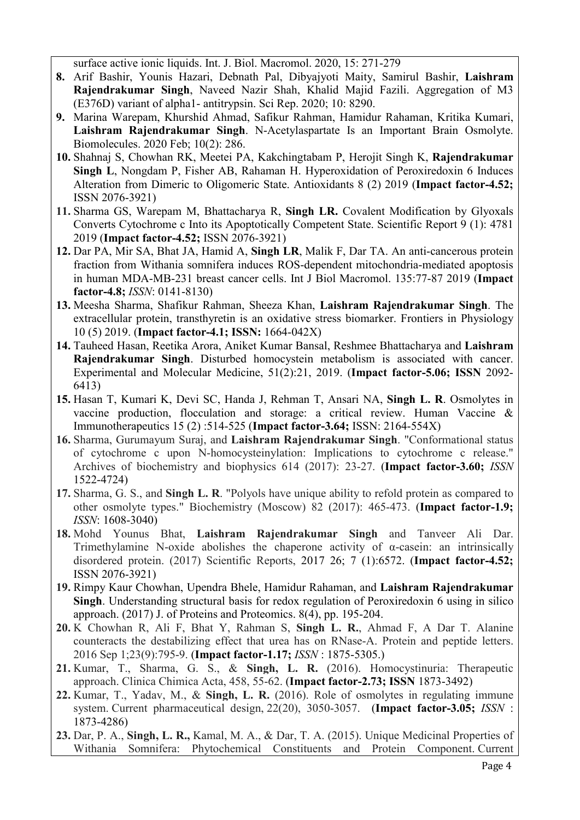surface active ionic liquids. Int. J. Biol. Macromol. 2020, 15: 271-279

- **8.** Arif Bashir, Younis Hazari, Debnath Pal, Dibyajyoti Maity, Samirul Bashir, **Laishram Rajendrakumar Singh**, Naveed Nazir Shah, Khalid Majid Fazili. Aggregation of M3 (E376D) variant of alpha1- antitrypsin. Sci Rep. 2020; 10: 8290.
- **9.** Marina Warepam, Khurshid Ahmad, Safikur Rahman, Hamidur Rahaman, Kritika Kumari, **Laishram Rajendrakumar Singh**. N-Acetylaspartate Is an Important Brain Osmolyte. Biomolecules. 2020 Feb; 10(2): 286.
- **10.** Shahnaj S, Chowhan RK, Meetei PA, Kakchingtabam P, Herojit Singh K, **Rajendrakumar Singh L**, Nongdam P, Fisher AB, Rahaman H. Hyperoxidation of Peroxiredoxin 6 Induces Alteration from Dimeric to Oligomeric State. Antioxidants 8 (2) 2019 (**Impact factor-4.52;**  ISSN 2076-3921)
- **11.** Sharma GS, Warepam M, Bhattacharya R, **Singh LR.** Covalent Modification by Glyoxals Converts Cytochrome c Into its Apoptotically Competent State. Scientific Report 9 (1): 4781 2019 (**Impact factor-4.52;** ISSN 2076-3921)
- **12.** Dar PA, Mir SA, Bhat JA, Hamid A, **Singh LR**, Malik F, Dar TA. An anti-cancerous protein fraction from Withania somnifera induces ROS-dependent mitochondria-mediated apoptosis in human MDA-MB-231 breast cancer cells. Int J Biol Macromol. 135:77-87 2019 (**Impact factor-4.8;** *ISSN*: 0141-8130)
- **13.** Meesha Sharma, Shafikur Rahman, Sheeza Khan, **Laishram Rajendrakumar Singh**. The extracellular protein, transthyretin is an oxidative stress biomarker. Frontiers in Physiology 10 (5) 2019. (**Impact factor-4.1; ISSN:** 1664-042X)
- **14.** Tauheed Hasan, Reetika Arora, Aniket Kumar Bansal, Reshmee Bhattacharya and **Laishram Rajendrakumar Singh**. Disturbed homocystein metabolism is associated with cancer. Experimental and Molecular Medicine, 51(2):21, 2019. (**Impact factor-5.06; ISSN** 2092- 6413)
- **15.** Hasan T, Kumari K, Devi SC, Handa J, Rehman T, Ansari NA, **Singh L. R**. Osmolytes in vaccine production, flocculation and storage: a critical review. Human Vaccine & Immunotherapeutics 15 (2) :514-525 (**Impact factor-3.64;** ISSN: 2164-554X)
- **16.** Sharma, Gurumayum Suraj, and **Laishram Rajendrakumar Singh**. "Conformational status of cytochrome c upon N-homocysteinylation: Implications to cytochrome c release." Archives of biochemistry and biophysics 614 (2017): 23-27. (**Impact factor-3.60;** *ISSN* 1522-4724)
- **17.** Sharma, G. S., and **Singh L. R**. "Polyols have unique ability to refold protein as compared to other osmolyte types." Biochemistry (Moscow) 82 (2017): 465-473. (**Impact factor-1.9;**  *ISSN*: 1608-3040)
- **18.** Mohd Younus Bhat, **Laishram Rajendrakumar Singh** and Tanveer Ali Dar. Trimethylamine N-oxide abolishes the chaperone activity of  $\alpha$ -casein: an intrinsically disordered protein. (2017) Scientific Reports, 2017 26; 7 (1):6572. (**Impact factor-4.52;**  ISSN 2076-3921)
- **19.** Rimpy Kaur Chowhan, Upendra Bhele, Hamidur Rahaman, and **Laishram Rajendrakumar Singh**. Understanding structural basis for redox regulation of Peroxiredoxin 6 using in silico approach. (2017) J. of Proteins and Proteomics. 8(4), pp. 195-204.
- **20.** K Chowhan R, Ali F, Bhat Y, Rahman S, **Singh L. R.**, Ahmad F, A Dar T. Alanine counteracts the destabilizing effect that urea has on RNase-A. Protein and peptide letters. 2016 Sep 1;23(9):795-9. (**Impact factor-1.17;** *ISSN* : 1875-5305.)
- **21.** Kumar, T., Sharma, G. S., & **Singh, L. R.** (2016). Homocystinuria: Therapeutic approach. Clinica Chimica Acta, 458, 55-62. (**Impact factor-2.73; ISSN** 1873-3492)
- **22.** Kumar, T., Yadav, M., & **Singh, L. R.** (2016). Role of osmolytes in regulating immune system. Current pharmaceutical design, 22(20), 3050-3057. (**Impact factor-3.05;** *ISSN* : 1873-4286)
- **23.** Dar, P. A., **Singh, L. R.,** Kamal, M. A., & Dar, T. A. (2015). Unique Medicinal Properties of Withania Somnifera: Phytochemical Constituents and Protein Component. Current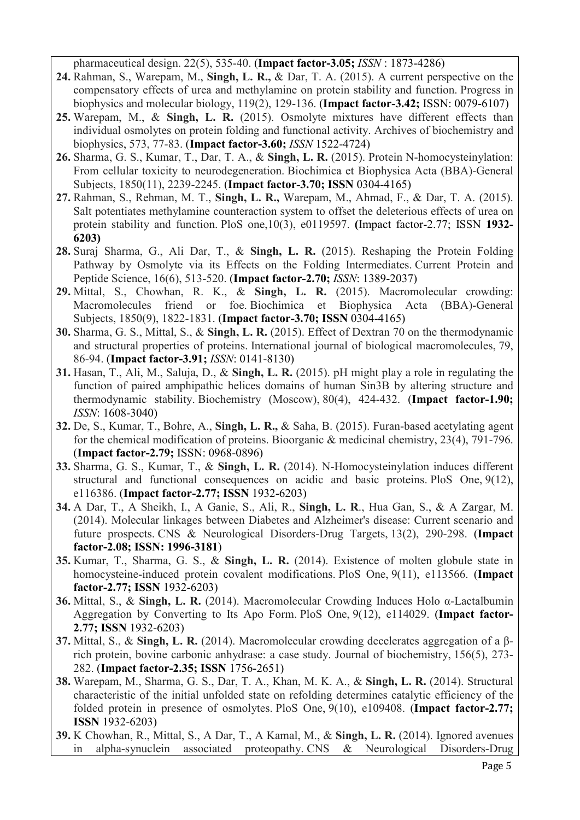pharmaceutical design. 22(5), 535-40. (**Impact factor-3.05;** *ISSN* : 1873-4286)

- **24.** Rahman, S., Warepam, M., **Singh, L. R.,** & Dar, T. A. (2015). A current perspective on the compensatory effects of urea and methylamine on protein stability and function. Progress in biophysics and molecular biology, 119(2), 129-136. (**Impact factor-3.42;** ISSN: 0079-6107)
- **25.** Warepam, M., & **Singh, L. R.** (2015). Osmolyte mixtures have different effects than individual osmolytes on protein folding and functional activity. Archives of biochemistry and biophysics, 573, 77-83. (**Impact factor-3.60;** *ISSN* 1522-4724)
- **26.** Sharma, G. S., Kumar, T., Dar, T. A., & **Singh, L. R.** (2015). Protein N-homocysteinylation: From cellular toxicity to neurodegeneration. Biochimica et Biophysica Acta (BBA)-General Subjects, 1850(11), 2239-2245. (**Impact factor-3.70; ISSN** 0304-4165)
- **27.** Rahman, S., Rehman, M. T., **Singh, L. R.,** Warepam, M., Ahmad, F., & Dar, T. A. (2015). Salt potentiates methylamine counteraction system to offset the deleterious effects of urea on protein stability and function. PloS one,10(3), e0119597. **(**Impact factor-2.77; ISSN **1932- 6203)**
- **28.** Suraj Sharma, G., Ali Dar, T., & **Singh, L. R.** (2015). Reshaping the Protein Folding Pathway by Osmolyte via its Effects on the Folding Intermediates. Current Protein and Peptide Science, 16(6), 513-520. (**Impact factor-2.70;** *ISSN*: 1389-2037)
- **29.** Mittal, S., Chowhan, R. K., & **Singh, L. R.** (2015). Macromolecular crowding: Macromolecules friend or foe. Biochimica et Biophysica Acta (BBA)-General Subjects, 1850(9), 1822-1831. (**Impact factor-3.70; ISSN** 0304-4165)
- **30.** Sharma, G. S., Mittal, S., & **Singh, L. R.** (2015). Effect of Dextran 70 on the thermodynamic and structural properties of proteins. International journal of biological macromolecules, 79, 86-94. (**Impact factor-3.91;** *ISSN*: 0141-8130)
- **31.** Hasan, T., Ali, M., Saluja, D., & **Singh, L. R.** (2015). pH might play a role in regulating the function of paired amphipathic helices domains of human Sin3B by altering structure and thermodynamic stability. Biochemistry (Moscow), 80(4), 424-432. (**Impact factor-1.90;**  *ISSN*: 1608-3040)
- **32.** De, S., Kumar, T., Bohre, A., **Singh, L. R.,** & Saha, B. (2015). Furan-based acetylating agent for the chemical modification of proteins. Bioorganic & medicinal chemistry, 23(4), 791-796. (**Impact factor-2.79;** ISSN: 0968-0896)
- **33.** Sharma, G. S., Kumar, T., & **Singh, L. R.** (2014). N-Homocysteinylation induces different structural and functional consequences on acidic and basic proteins. PloS One, 9(12), e116386. (**Impact factor-2.77; ISSN** 1932-6203)
- **34.** A Dar, T., A Sheikh, I., A Ganie, S., Ali, R., **Singh, L. R**., Hua Gan, S., & A Zargar, M. (2014). Molecular linkages between Diabetes and Alzheimer's disease: Current scenario and future prospects. CNS & Neurological Disorders-Drug Targets, 13(2), 290-298. (**Impact factor-2.08; ISSN: 1996-3181**)
- **35.** Kumar, T., Sharma, G. S., & **Singh, L. R.** (2014). Existence of molten globule state in homocysteine-induced protein covalent modifications. PloS One, 9(11), e113566. (**Impact factor-2.77; ISSN** 1932-6203)
- **36.** Mittal, S., & **Singh, L. R.** (2014). Macromolecular Crowding Induces Holo α-Lactalbumin Aggregation by Converting to Its Apo Form. PloS One, 9(12), e114029. (**Impact factor-2.77; ISSN** 1932-6203)
- **37.** Mittal, S., & **Singh, L. R.** (2014). Macromolecular crowding decelerates aggregation of a βrich protein, bovine carbonic anhydrase: a case study. Journal of biochemistry, 156(5), 273- 282. (**Impact factor-2.35; ISSN** 1756-2651)
- **38.** Warepam, M., Sharma, G. S., Dar, T. A., Khan, M. K. A., & **Singh, L. R.** (2014). Structural characteristic of the initial unfolded state on refolding determines catalytic efficiency of the folded protein in presence of osmolytes. PloS One, 9(10), e109408. (**Impact factor-2.77; ISSN** 1932-6203)
- **39.** K Chowhan, R., Mittal, S., A Dar, T., A Kamal, M., & **Singh, L. R.** (2014). Ignored avenues in alpha-synuclein associated proteopathy. CNS & Neurological Disorders-Drug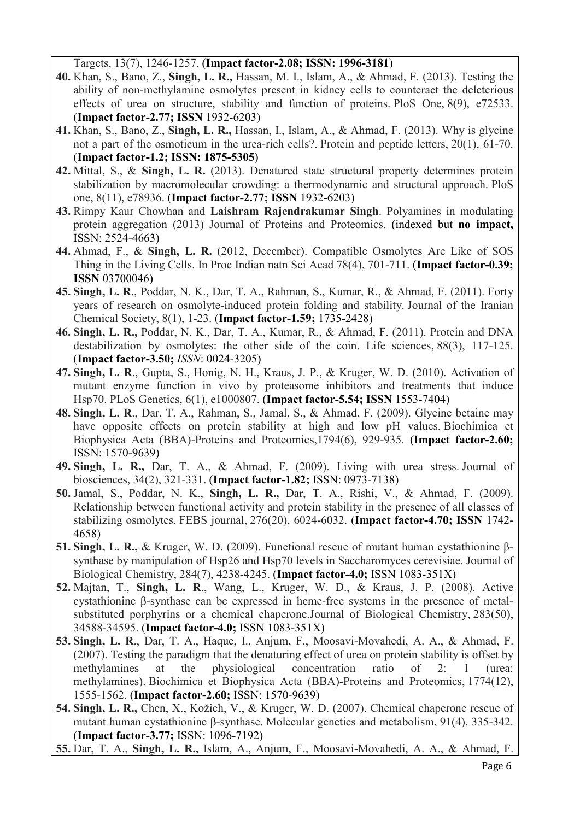Targets, 13(7), 1246-1257. (**Impact factor-2.08; ISSN: 1996-3181**)

- **40.** Khan, S., Bano, Z., **Singh, L. R.,** Hassan, M. I., Islam, A., & Ahmad, F. (2013). Testing the ability of non-methylamine osmolytes present in kidney cells to counteract the deleterious effects of urea on structure, stability and function of proteins. PloS One, 8(9), e72533. (**Impact factor-2.77; ISSN** 1932-6203)
- **41.** Khan, S., Bano, Z., **Singh, L. R.,** Hassan, I., Islam, A., & Ahmad, F. (2013). Why is glycine not a part of the osmoticum in the urea-rich cells?. Protein and peptide letters, 20(1), 61-70. (**Impact factor-1.2; ISSN: 1875-5305**)
- **42.** Mittal, S., & **Singh, L. R.** (2013). Denatured state structural property determines protein stabilization by macromolecular crowding: a thermodynamic and structural approach. PloS one, 8(11), e78936. (**Impact factor-2.77; ISSN** 1932-6203)
- **43.** Rimpy Kaur Chowhan and **Laishram Rajendrakumar Singh**. Polyamines in modulating protein aggregation (2013) Journal of Proteins and Proteomics. (indexed but **no impact,** ISSN: 2524-4663)
- **44.** Ahmad, F., & **Singh, L. R.** (2012, December). Compatible Osmolytes Are Like of SOS Thing in the Living Cells. In Proc Indian natn Sci Acad 78(4), 701-711. (**Impact factor-0.39; ISSN** 03700046)
- **45. Singh, L. R**., Poddar, N. K., Dar, T. A., Rahman, S., Kumar, R., & Ahmad, F. (2011). Forty years of research on osmolyte-induced protein folding and stability. Journal of the Iranian Chemical Society, 8(1), 1-23. (**Impact factor-1.59;** 1735-2428)
- **46. Singh, L. R.,** Poddar, N. K., Dar, T. A., Kumar, R., & Ahmad, F. (2011). Protein and DNA destabilization by osmolytes: the other side of the coin. Life sciences, 88(3), 117-125. (**Impact factor-3.50;** *ISSN*: 0024-3205)
- **47. Singh, L. R**., Gupta, S., Honig, N. H., Kraus, J. P., & Kruger, W. D. (2010). Activation of mutant enzyme function in vivo by proteasome inhibitors and treatments that induce Hsp70. PLoS Genetics, 6(1), e1000807. (**Impact factor-5.54; ISSN** 1553-7404)
- **48. Singh, L. R**., Dar, T. A., Rahman, S., Jamal, S., & Ahmad, F. (2009). Glycine betaine may have opposite effects on protein stability at high and low pH values. Biochimica et Biophysica Acta (BBA)-Proteins and Proteomics,1794(6), 929-935. (**Impact factor-2.60;**  ISSN: 1570-9639)
- **49. Singh, L. R.,** Dar, T. A., & Ahmad, F. (2009). Living with urea stress. Journal of biosciences, 34(2), 321-331. (**Impact factor-1.82;** ISSN: 0973-7138)
- **50.** Jamal, S., Poddar, N. K., **Singh, L. R.,** Dar, T. A., Rishi, V., & Ahmad, F. (2009). Relationship between functional activity and protein stability in the presence of all classes of stabilizing osmolytes. FEBS journal, 276(20), 6024-6032. (**Impact factor-4.70; ISSN** 1742- 4658)
- **51. Singh, L. R.,** & Kruger, W. D. (2009). Functional rescue of mutant human cystathionine βsynthase by manipulation of Hsp26 and Hsp70 levels in Saccharomyces cerevisiae. Journal of Biological Chemistry, 284(7), 4238-4245. (**Impact factor-4.0;** ISSN 1083-351X)
- **52.** Majtan, T., **Singh, L. R**., Wang, L., Kruger, W. D., & Kraus, J. P. (2008). Active cystathionine β-synthase can be expressed in heme-free systems in the presence of metalsubstituted porphyrins or a chemical chaperone.Journal of Biological Chemistry, 283(50), 34588-34595. (**Impact factor-4.0;** ISSN 1083-351X)
- **53. Singh, L. R**., Dar, T. A., Haque, I., Anjum, F., Moosavi-Movahedi, A. A., & Ahmad, F. (2007). Testing the paradigm that the denaturing effect of urea on protein stability is offset by methylamines at the physiological concentration ratio of 2: 1 (urea: methylamines). Biochimica et Biophysica Acta (BBA)-Proteins and Proteomics, 1774(12), 1555-1562. (**Impact factor-2.60;** ISSN: 1570-9639)
- **54. Singh, L. R.,** Chen, X., Kožich, V., & Kruger, W. D. (2007). Chemical chaperone rescue of mutant human cystathionine β-synthase. Molecular genetics and metabolism, 91(4), 335-342. (**Impact factor-3.77;** ISSN: 1096-7192)
- **55.** Dar, T. A., **Singh, L. R.,** Islam, A., Anjum, F., Moosavi-Movahedi, A. A., & Ahmad, F.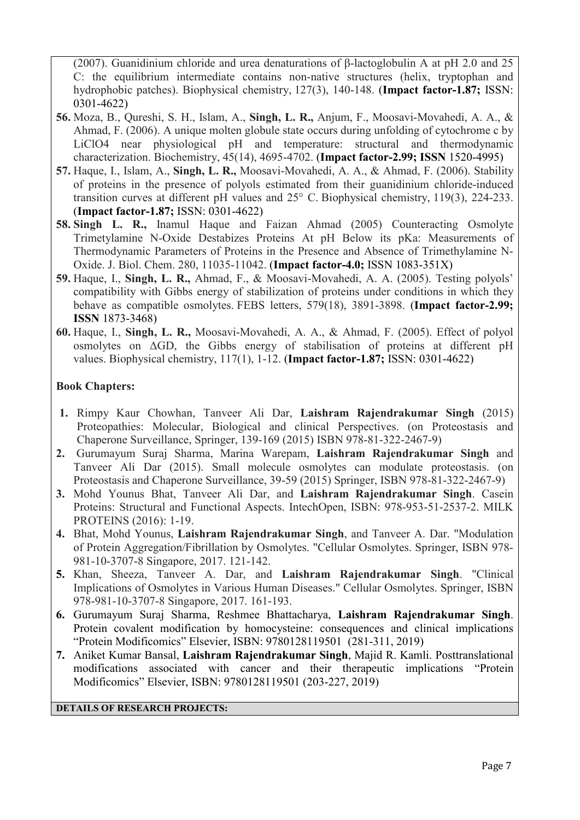(2007). Guanidinium chloride and urea denaturations of β-lactoglobulin A at pH 2.0 and 25 C: the equilibrium intermediate contains non-native structures (helix, tryptophan and hydrophobic patches). Biophysical chemistry, 127(3), 140-148. (**Impact factor-1.87;** ISSN: 0301-4622)

- **56.** Moza, B., Qureshi, S. H., Islam, A., **Singh, L. R.,** Anjum, F., Moosavi-Movahedi, A. A., & Ahmad, F. (2006). A unique molten globule state occurs during unfolding of cytochrome c by LiClO4 near physiological pH and temperature: structural and thermodynamic characterization. Biochemistry, 45(14), 4695-4702. (**Impact factor-2.99; ISSN** 1520-4995)
- **57.** Haque, I., Islam, A., **Singh, L. R.,** Moosavi-Movahedi, A. A., & Ahmad, F. (2006). Stability of proteins in the presence of polyols estimated from their guanidinium chloride-induced transition curves at different pH values and 25° C. Biophysical chemistry, 119(3), 224-233. (**Impact factor-1.87;** ISSN: 0301-4622)
- **58. Singh L. R.,** Inamul Haque and Faizan Ahmad (2005) Counteracting Osmolyte Trimetylamine N-Oxide Destabizes Proteins At pH Below its pKa: Measurements of Thermodynamic Parameters of Proteins in the Presence and Absence of Trimethylamine N-Oxide. J. Biol. Chem. 280, 11035-11042. (**Impact factor-4.0;** ISSN 1083-351X)
- **59.** Haque, I., **Singh, L. R.,** Ahmad, F., & Moosavi-Movahedi, A. A. (2005). Testing polyols' compatibility with Gibbs energy of stabilization of proteins under conditions in which they behave as compatible osmolytes. FEBS letters, 579(18), 3891-3898. (**Impact factor-2.99; ISSN** 1873-3468)
- **60.** Haque, I., **Singh, L. R.,** Moosavi-Movahedi, A. A., & Ahmad, F. (2005). Effect of polyol osmolytes on ΔGD, the Gibbs energy of stabilisation of proteins at different pH values. Biophysical chemistry, 117(1), 1-12. (**Impact factor-1.87;** ISSN: 0301-4622)

## **Book Chapters:**

- **1.** Rimpy Kaur Chowhan, Tanveer Ali Dar, **Laishram Rajendrakumar Singh** (2015) Proteopathies: Molecular, Biological and clinical Perspectives. (on Proteostasis and Chaperone Surveillance, Springer, 139-169 (2015) ISBN 978-81-322-2467-9)
- **2.** Gurumayum Suraj Sharma, Marina Warepam, **Laishram Rajendrakumar Singh** and Tanveer Ali Dar (2015). Small molecule osmolytes can modulate proteostasis. (on Proteostasis and Chaperone Surveillance, 39-59 (2015) Springer, ISBN 978-81-322-2467-9)
- **3.** Mohd Younus Bhat, Tanveer Ali Dar, and **Laishram Rajendrakumar Singh**. Casein Proteins: Structural and Functional Aspects. IntechOpen, ISBN: 978-953-51-2537-2. MILK PROTEINS (2016): 1-19.
- **4.** Bhat, Mohd Younus, **Laishram Rajendrakumar Singh**, and Tanveer A. Dar. "Modulation of Protein Aggregation/Fibrillation by Osmolytes. "Cellular Osmolytes. Springer, ISBN 978- 981-10-3707-8 Singapore, 2017. 121-142.
- **5.** Khan, Sheeza, Tanveer A. Dar, and **Laishram Rajendrakumar Singh**. "Clinical Implications of Osmolytes in Various Human Diseases." Cellular Osmolytes. Springer, ISBN 978-981-10-3707-8 Singapore, 2017. 161-193.
- **6.** Gurumayum Suraj Sharma, Reshmee Bhattacharya, **Laishram Rajendrakumar Singh**. Protein covalent modification by homocysteine: consequences and clinical implications "Protein Modificomics" Elsevier, ISBN: 9780128119501 (281-311, 2019)
- **7.** Aniket Kumar Bansal, **Laishram Rajendrakumar Singh**, Majid R. Kamli. Posttranslational modifications associated with cancer and their therapeutic implications "Protein Modificomics" Elsevier, ISBN: 9780128119501 (203-227, 2019)

### **DETAILS OF RESEARCH PROJECTS:**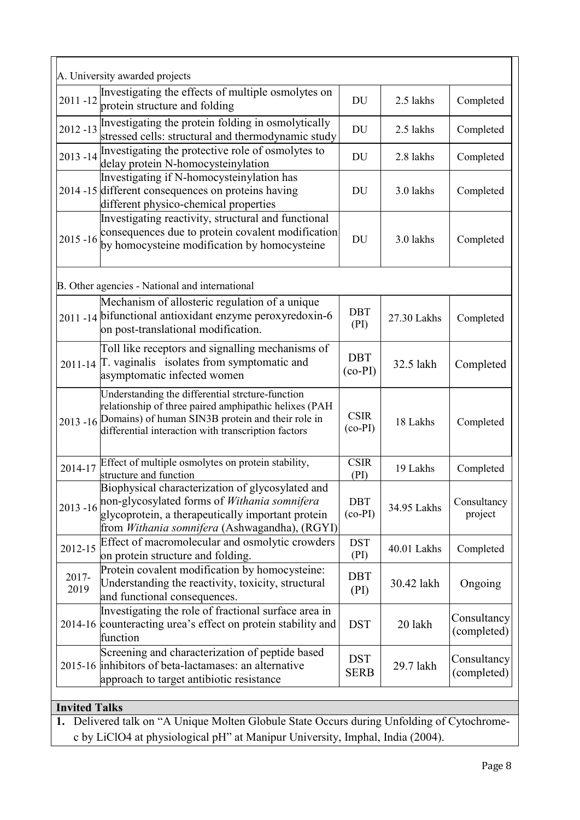|               | A. University awarded projects                                                                                                                                                                                                 |                           |             |                            |
|---------------|--------------------------------------------------------------------------------------------------------------------------------------------------------------------------------------------------------------------------------|---------------------------|-------------|----------------------------|
| $2011 - 12$   | Investigating the effects of multiple osmolytes on<br>protein structure and folding                                                                                                                                            | DU                        | 2.5 lakhs   | Completed                  |
| $2012 - 13$   | Investigating the protein folding in osmolytically<br>stressed cells: structural and thermodynamic study                                                                                                                       | <b>DU</b>                 | 2.5 lakhs   | Completed                  |
| $2013 - 14$   | Investigating the protective role of osmolytes to<br>delay protein N-homocysteinylation                                                                                                                                        | <b>DU</b>                 | 2.8 lakhs   | Completed                  |
|               | Investigating if N-homocysteinylation has<br>2014 -15 different consequences on proteins having<br>different physico-chemical properties                                                                                       | DU                        | 3.0 lakhs   | Completed                  |
| $2015 - 16$   | Investigating reactivity, structural and functional<br>consequences due to protein covalent modification<br>by homocysteine modification by homocysteine                                                                       | DU                        | 3.0 lakhs   | Completed                  |
|               | B. Other agencies - National and international                                                                                                                                                                                 |                           |             |                            |
|               | Mechanism of allosteric regulation of a unique<br>2011 -14 bifunctional antioxidant enzyme peroxyredoxin-6<br>on post-translational modification.                                                                              | <b>DBT</b><br>(PI)        | 27.30 Lakhs | Completed                  |
| 2011-14       | Toll like receptors and signalling mechanisms of<br>T. vaginalis isolates from symptomatic and<br>asymptomatic infected women                                                                                                  | <b>DBT</b><br>$(co-PI)$   | 32.5 lakh   | Completed                  |
|               | Understanding the differential strcture-function<br>relationship of three paired amphipathic helixes (PAH<br>2013 -16 Domains) of human SIN3B protein and their role in<br>differential interaction with transcription factors | <b>CSIR</b><br>$(co-PI)$  | 18 Lakhs    | Completed                  |
| 2014-17       | Effect of multiple osmolytes on protein stability,<br>structure and function                                                                                                                                                   | <b>CSIR</b><br>(PI)       | 19 Lakhs    | Completed                  |
| $2013 - 16$   | Biophysical characterization of glycosylated and<br>non-glycosylated forms of Withania somnifera<br>glycoprotein, a therapeutically important protein<br>from Withania somnifera (Ashwagandha), (RGYI)                         | <b>DBT</b><br>$(co-PI)$   | 34.95 Lakhs | Consultancy<br>project     |
| 2012-15       | Effect of macromolecular and osmolytic crowders<br>on protein structure and folding.                                                                                                                                           | <b>DST</b><br>(PI)        | 40.01 Lakhs | Completed                  |
| 2017-<br>2019 | Protein covalent modification by homocysteine:<br>Understanding the reactivity, toxicity, structural<br>and functional consequences.                                                                                           | <b>DBT</b><br>(PI)        | 30.42 lakh  | Ongoing                    |
|               | Investigating the role of fractional surface area in<br>2014-16 counteracting urea's effect on protein stability and<br>function                                                                                               | <b>DST</b>                | 20 lakh     | Consultancy<br>(completed) |
|               | Screening and characterization of peptide based<br>2015-16 inhibitors of beta-lactamases: an alternative                                                                                                                       | <b>DST</b><br><b>SERB</b> | 29.7 lakh   | Consultancy<br>(completed) |

**1.** Delivered talk on "A Unique Molten Globule State Occurs during Unfolding of Cytochromec by LiClO4 at physiological pH" at Manipur University, Imphal, India (2004).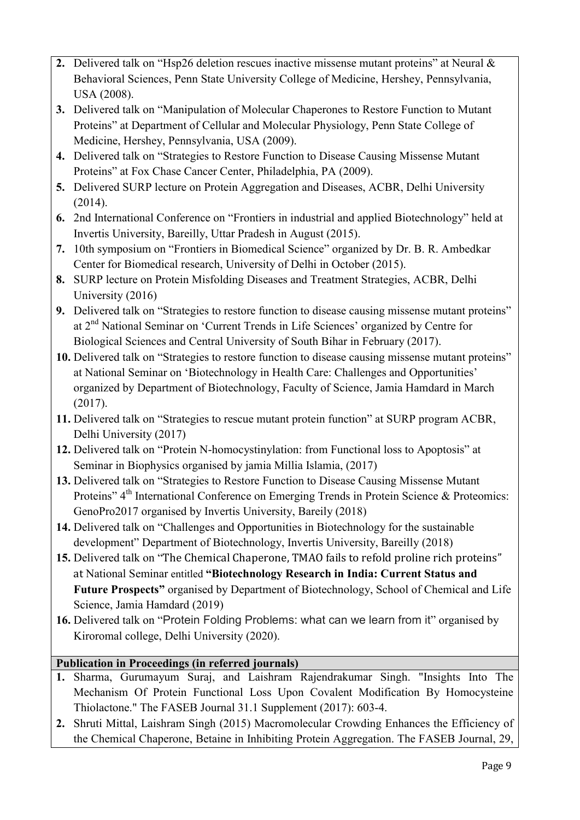- **2.** Delivered talk on "Hsp26 deletion rescues inactive missense mutant proteins" at Neural & Behavioral Sciences, Penn State University College of Medicine, Hershey, Pennsylvania, USA (2008).
- **3.** Delivered talk on "Manipulation of Molecular Chaperones to Restore Function to Mutant Proteins" at Department of Cellular and Molecular Physiology, Penn State College of Medicine, Hershey, Pennsylvania, USA (2009).
- **4.** Delivered talk on "Strategies to Restore Function to Disease Causing Missense Mutant Proteins" at Fox Chase Cancer Center, Philadelphia, PA (2009).
- **5.** Delivered SURP lecture on Protein Aggregation and Diseases, ACBR, Delhi University (2014).
- **6.** 2nd International Conference on "Frontiers in industrial and applied Biotechnology" held at Invertis University, Bareilly, Uttar Pradesh in August (2015).
- **7.** 10th symposium on "Frontiers in Biomedical Science" organized by Dr. B. R. Ambedkar Center for Biomedical research, University of Delhi in October (2015).
- **8.** SURP lecture on Protein Misfolding Diseases and Treatment Strategies, ACBR, Delhi University (2016)
- **9.** Delivered talk on "Strategies to restore function to disease causing missense mutant proteins" at 2nd National Seminar on 'Current Trends in Life Sciences' organized by Centre for Biological Sciences and Central University of South Bihar in February (2017).
- **10.** Delivered talk on "Strategies to restore function to disease causing missense mutant proteins" at National Seminar on 'Biotechnology in Health Care: Challenges and Opportunities' organized by Department of Biotechnology, Faculty of Science, Jamia Hamdard in March (2017).
- **11.** Delivered talk on "Strategies to rescue mutant protein function" at SURP program ACBR, Delhi University (2017)
- **12.** Delivered talk on "Protein N-homocystinylation: from Functional loss to Apoptosis" at Seminar in Biophysics organised by jamia Millia Islamia, (2017)
- **13.** Delivered talk on "Strategies to Restore Function to Disease Causing Missense Mutant Proteins" 4<sup>th</sup> International Conference on Emerging Trends in Protein Science & Proteomics: GenoPro2017 organised by Invertis University, Bareily (2018)
- **14.** Delivered talk on "Challenges and Opportunities in Biotechnology for the sustainable development" Department of Biotechnology, Invertis University, Bareilly (2018)
- **15.** Delivered talk on "The Chemical Chaperone, TMAO fails to refold proline rich proteins" at National Seminar entitled **"Biotechnology Research in India: Current Status and Future Prospects"** organised by Department of Biotechnology, School of Chemical and Life Science, Jamia Hamdard (2019)
- **16.** Delivered talk on "Protein Folding Problems: what can we learn from it" organised by Kiroromal college, Delhi University (2020).

# **Publication in Proceedings (in referred journals)**

- **1.** Sharma, Gurumayum Suraj, and Laishram Rajendrakumar Singh. "Insights Into The Mechanism Of Protein Functional Loss Upon Covalent Modification By Homocysteine Thiolactone." The FASEB Journal 31.1 Supplement (2017): 603-4.
- **2.** Shruti Mittal, Laishram Singh (2015) Macromolecular Crowding Enhances the Efficiency of the Chemical Chaperone, Betaine in Inhibiting Protein Aggregation. The FASEB Journal, 29,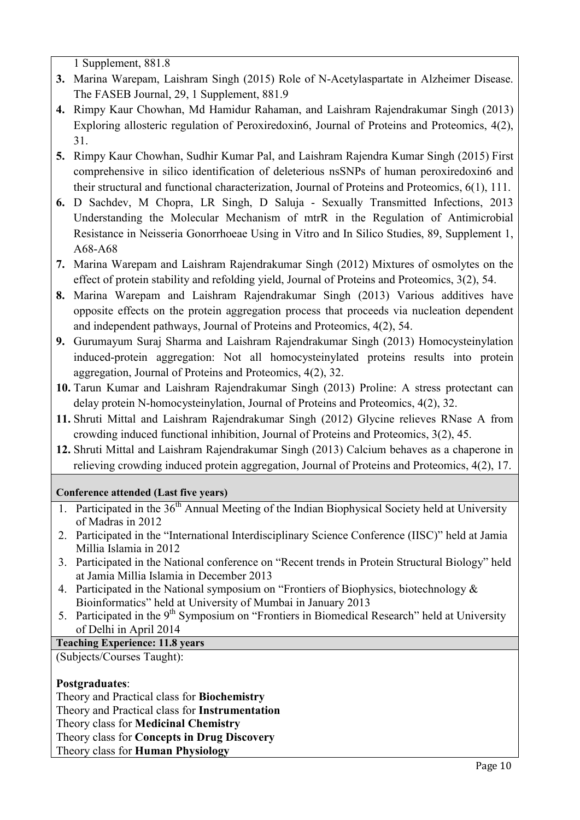1 Supplement, 881.8

- **3.** Marina Warepam, Laishram Singh (2015) Role of N-Acetylaspartate in Alzheimer Disease. The FASEB Journal, 29, 1 Supplement, 881.9
- **4.** Rimpy Kaur Chowhan, Md Hamidur Rahaman, and Laishram Rajendrakumar Singh (2013) Exploring allosteric regulation of Peroxiredoxin6, Journal of Proteins and Proteomics, 4(2), 31.
- **5.** Rimpy Kaur Chowhan, Sudhir Kumar Pal, and Laishram Rajendra Kumar Singh (2015) First comprehensive in silico identification of deleterious nsSNPs of human peroxiredoxin6 and their structural and functional characterization, Journal of Proteins and Proteomics, 6(1), 111.
- **6.** D Sachdev, M Chopra, LR Singh, D Saluja Sexually Transmitted Infections, 2013 Understanding the Molecular Mechanism of mtrR in the Regulation of Antimicrobial Resistance in Neisseria Gonorrhoeae Using in Vitro and In Silico Studies, 89, Supplement 1, A68-A68
- **7.** Marina Warepam and Laishram Rajendrakumar Singh (2012) Mixtures of osmolytes on the effect of protein stability and refolding yield, Journal of Proteins and Proteomics, 3(2), 54.
- **8.** Marina Warepam and Laishram Rajendrakumar Singh (2013) Various additives have opposite effects on the protein aggregation process that proceeds via nucleation dependent and independent pathways, Journal of Proteins and Proteomics, 4(2), 54.
- **9.** Gurumayum Suraj Sharma and Laishram Rajendrakumar Singh (2013) Homocysteinylation induced-protein aggregation: Not all homocysteinylated proteins results into protein aggregation, Journal of Proteins and Proteomics, 4(2), 32.
- **10.** Tarun Kumar and Laishram Rajendrakumar Singh (2013) Proline: A stress protectant can delay protein N-homocysteinylation, Journal of Proteins and Proteomics, 4(2), 32.
- **11.** Shruti Mittal and Laishram Rajendrakumar Singh (2012) Glycine relieves RNase A from crowding induced functional inhibition, Journal of Proteins and Proteomics, 3(2), 45.
- **12.** Shruti Mittal and Laishram Rajendrakumar Singh (2013) Calcium behaves as a chaperone in relieving crowding induced protein aggregation, Journal of Proteins and Proteomics, 4(2), 17.

**Conference attended (Last five years)**

- 1. Participated in the  $36<sup>th</sup>$  Annual Meeting of the Indian Biophysical Society held at University of Madras in 2012
- 2. Participated in the "International Interdisciplinary Science Conference (IISC)" held at Jamia Millia Islamia in 2012
- 3. Participated in the National conference on "Recent trends in Protein Structural Biology" held at Jamia Millia Islamia in December 2013
- 4. Participated in the National symposium on "Frontiers of Biophysics, biotechnology & Bioinformatics" held at University of Mumbai in January 2013
- 5. Participated in the  $9<sup>th</sup>$  Symposium on "Frontiers in Biomedical Research" held at University of Delhi in April 2014

# **Teaching Experience: 11.8 years**

(Subjects/Courses Taught):

## **Postgraduates**:

Theory and Practical class for **Biochemistry** Theory and Practical class for **Instrumentation** Theory class for **Medicinal Chemistry** Theory class for **Concepts in Drug Discovery** Theory class for **Human Physiology**